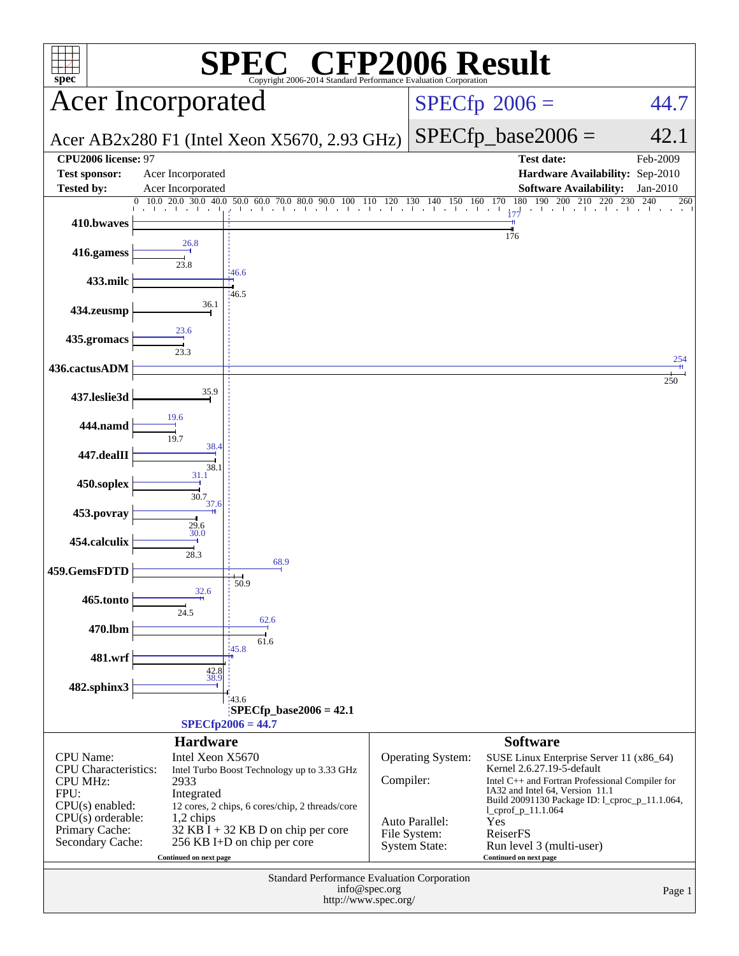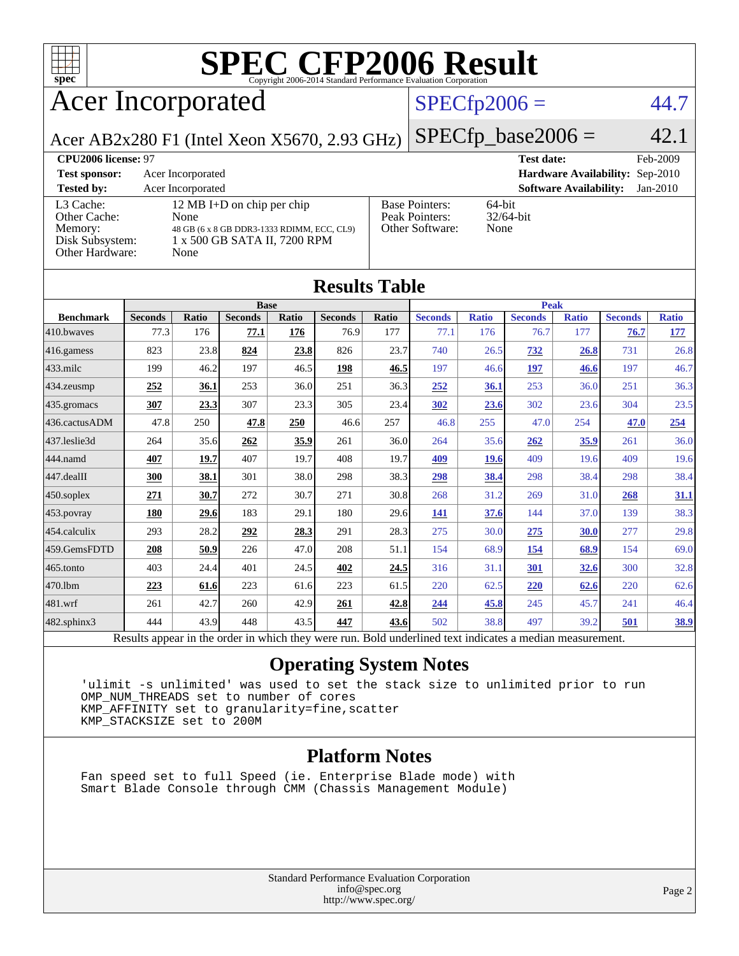

# **[SPEC CFP2006 Result](http://www.spec.org/auto/cpu2006/Docs/result-fields.html#SPECCFP2006Result)**

## Acer Incorporated

### $SPECfp2006 = 44.7$  $SPECfp2006 = 44.7$

Acer AB2x280 F1 (Intel Xeon X5670, 2.93 GHz)

 $SPECfp\_base2006 = 42.1$ **[CPU2006 license:](http://www.spec.org/auto/cpu2006/Docs/result-fields.html#CPU2006license)** 97 **[Test date:](http://www.spec.org/auto/cpu2006/Docs/result-fields.html#Testdate)** Feb-2009 **[Test sponsor:](http://www.spec.org/auto/cpu2006/Docs/result-fields.html#Testsponsor)** Acer Incorporated **[Hardware Availability:](http://www.spec.org/auto/cpu2006/Docs/result-fields.html#HardwareAvailability)** Sep-2010 **[Tested by:](http://www.spec.org/auto/cpu2006/Docs/result-fields.html#Testedby)** Acer Incorporated **[Software Availability:](http://www.spec.org/auto/cpu2006/Docs/result-fields.html#SoftwareAvailability)** Jan-2010 Pointers: 64-bit<br>Pointers: 32/64-bit

| resteu py:                                                                 | Acci mediporateu                                                                                                         |                                                                   |                            |
|----------------------------------------------------------------------------|--------------------------------------------------------------------------------------------------------------------------|-------------------------------------------------------------------|----------------------------|
| L3 Cache:<br>Other Cache:<br>Memory:<br>Disk Subsystem:<br>Other Hardware: | 12 MB I+D on chip per chip<br>None<br>48 GB (6 x 8 GB DDR3-1333 RDIMM, ECC, CL9)<br>1 x 500 GB SATA II, 7200 RPM<br>None | <b>Base Pointers:</b><br>Peak Pointers:<br><b>Other Software:</b> | $64$ -bit<br>32/64<br>None |
|                                                                            |                                                                                                                          |                                                                   |                            |

| <b>Results Table</b> |                                                                                                          |       |                |       |                |       |                |              |                |              |                |              |
|----------------------|----------------------------------------------------------------------------------------------------------|-------|----------------|-------|----------------|-------|----------------|--------------|----------------|--------------|----------------|--------------|
|                      | <b>Base</b>                                                                                              |       |                |       | <b>Peak</b>    |       |                |              |                |              |                |              |
| <b>Benchmark</b>     | <b>Seconds</b>                                                                                           | Ratio | <b>Seconds</b> | Ratio | <b>Seconds</b> | Ratio | <b>Seconds</b> | <b>Ratio</b> | <b>Seconds</b> | <b>Ratio</b> | <b>Seconds</b> | <b>Ratio</b> |
| 410.bwayes           | 77.3                                                                                                     | 176   | 77.1           | 176   | 76.9           | 177   | 77.1           | 176          | 76.7           | 177          | 76.7           | 177          |
| 416.gamess           | 823                                                                                                      | 23.8  | 824            | 23.8  | 826            | 23.7  | 740            | 26.5         | <u>732</u>     | 26.8         | 731            | 26.8         |
| $433$ .milc          | 199                                                                                                      | 46.2  | 197            | 46.5  | 198            | 46.5  | 197            | 46.6         | 197            | 46.6         | 197            | 46.7         |
| $434$ . zeusmp       | 252                                                                                                      | 36.1  | 253            | 36.0  | 251            | 36.3  | 252            | 36.1         | 253            | 36.0         | 251            | 36.3         |
| 435.gromacs          | 307                                                                                                      | 23.3  | 307            | 23.3  | 305            | 23.4  | 302            | 23.6         | 302            | 23.6         | 304            | 23.5         |
| 436.cactusADM        | 47.8                                                                                                     | 250   | 47.8           | 250   | 46.6           | 257   | 46.8           | 255          | 47.0           | 254          | 47.0           | 254          |
| 437.leslie3d         | 264                                                                                                      | 35.6  | 262            | 35.9  | 261            | 36.0  | 264            | 35.6         | 262            | <u>35.9</u>  | 261            | 36.0         |
| 444.namd             | 407                                                                                                      | 19.7  | 407            | 19.7  | 408            | 19.7  | 409            | <u>19.6</u>  | 409            | 19.6         | 409            | 19.6         |
| 447.dealII           | 300                                                                                                      | 38.1  | 301            | 38.0  | 298            | 38.3  | 298            | 38.4         | 298            | 38.4         | 298            | 38.4         |
| $450$ .soplex        | 271                                                                                                      | 30.7  | 272            | 30.7  | 271            | 30.8  | 268            | 31.2         | 269            | 31.0         | 268            | 31.1         |
| 453.povray           | 180                                                                                                      | 29.6  | 183            | 29.1  | 180            | 29.6  | 141            | 37.6         | 144            | 37.0         | 139            | 38.3         |
| 454.calculix         | 293                                                                                                      | 28.2  | 292            | 28.3  | 291            | 28.3  | 275            | 30.0         | 275            | 30.0         | 277            | 29.8         |
| 459.GemsFDTD         | 208                                                                                                      | 50.9  | 226            | 47.0  | 208            | 51.1  | 154            | 68.9         | 154            | 68.9         | 154            | 69.0         |
| 465.tonto            | 403                                                                                                      | 24.4  | 401            | 24.5  | 402            | 24.5  | 316            | 31.1         | 301            | 32.6         | 300            | 32.8         |
| 470.lbm              | 223                                                                                                      | 61.6  | 223            | 61.6  | 223            | 61.5  | 220            | 62.5         | 220            | 62.6         | 220            | 62.6         |
| 481.wrf              | 261                                                                                                      | 42.7  | 260            | 42.9  | 261            | 42.8  | 244            | 45.8         | 245            | 45.7         | 241            | 46.4         |
| $482$ .sphinx $3$    | 444                                                                                                      | 43.9  | 448            | 43.5  | 447            | 43.6  | 502            | 38.8         | 497            | 39.2         | 501            | 38.9         |
|                      | Results appear in the order in which they were run. Bold underlined text indicates a median measurement. |       |                |       |                |       |                |              |                |              |                |              |

### **[Operating System Notes](http://www.spec.org/auto/cpu2006/Docs/result-fields.html#OperatingSystemNotes)**

 'ulimit -s unlimited' was used to set the stack size to unlimited prior to run OMP\_NUM\_THREADS set to number of cores KMP\_AFFINITY set to granularity=fine,scatter KMP\_STACKSIZE set to 200M

### **[Platform Notes](http://www.spec.org/auto/cpu2006/Docs/result-fields.html#PlatformNotes)**

 Fan speed set to full Speed (ie. Enterprise Blade mode) with Smart Blade Console through CMM (Chassis Management Module)

> Standard Performance Evaluation Corporation [info@spec.org](mailto:info@spec.org) <http://www.spec.org/>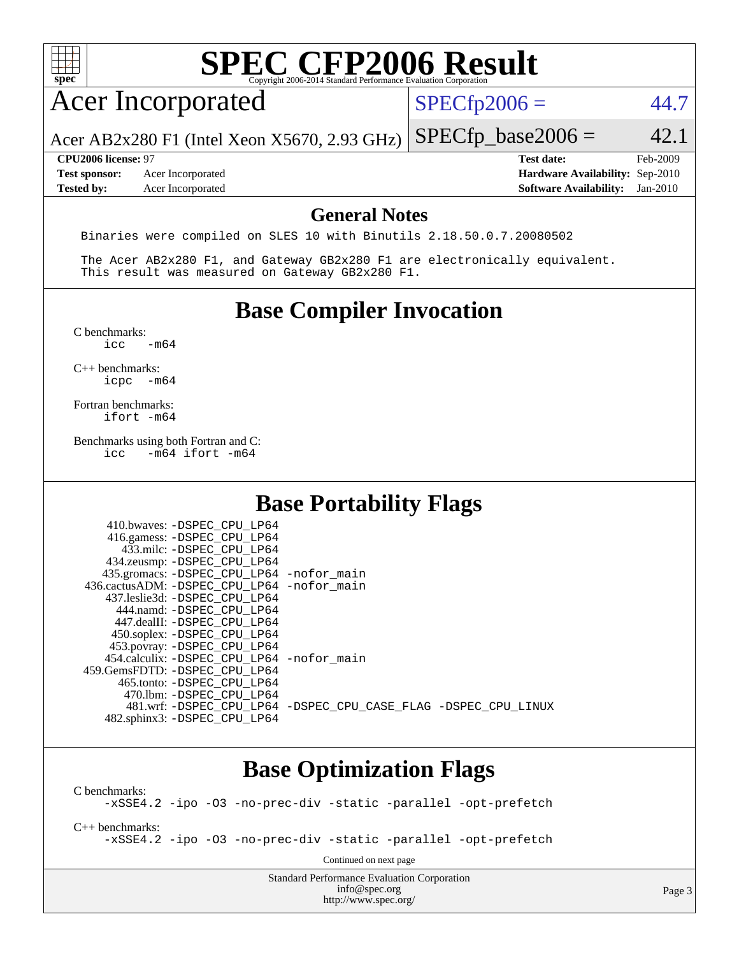

# **[Base Optimization Flags](http://www.spec.org/auto/cpu2006/Docs/result-fields.html#BaseOptimizationFlags)**

482.sphinx3: [-DSPEC\\_CPU\\_LP64](http://www.spec.org/cpu2006/results/res2010q3/cpu2006-20100715-12396.flags.html#suite_basePORTABILITY482_sphinx3_DSPEC_CPU_LP64)

481.wrf: [-DSPEC\\_CPU\\_LP64](http://www.spec.org/cpu2006/results/res2010q3/cpu2006-20100715-12396.flags.html#suite_basePORTABILITY481_wrf_DSPEC_CPU_LP64) [-DSPEC\\_CPU\\_CASE\\_FLAG](http://www.spec.org/cpu2006/results/res2010q3/cpu2006-20100715-12396.flags.html#b481.wrf_baseCPORTABILITY_DSPEC_CPU_CASE_FLAG) [-DSPEC\\_CPU\\_LINUX](http://www.spec.org/cpu2006/results/res2010q3/cpu2006-20100715-12396.flags.html#b481.wrf_baseCPORTABILITY_DSPEC_CPU_LINUX)

[C benchmarks](http://www.spec.org/auto/cpu2006/Docs/result-fields.html#Cbenchmarks): [-xSSE4.2](http://www.spec.org/cpu2006/results/res2010q3/cpu2006-20100715-12396.flags.html#user_CCbase_f-xSSE42_f91528193cf0b216347adb8b939d4107) [-ipo](http://www.spec.org/cpu2006/results/res2010q3/cpu2006-20100715-12396.flags.html#user_CCbase_f-ipo) [-O3](http://www.spec.org/cpu2006/results/res2010q3/cpu2006-20100715-12396.flags.html#user_CCbase_f-O3) [-no-prec-div](http://www.spec.org/cpu2006/results/res2010q3/cpu2006-20100715-12396.flags.html#user_CCbase_f-no-prec-div) [-static](http://www.spec.org/cpu2006/results/res2010q3/cpu2006-20100715-12396.flags.html#user_CCbase_f-static) [-parallel](http://www.spec.org/cpu2006/results/res2010q3/cpu2006-20100715-12396.flags.html#user_CCbase_f-parallel) [-opt-prefetch](http://www.spec.org/cpu2006/results/res2010q3/cpu2006-20100715-12396.flags.html#user_CCbase_f-opt-prefetch) [C++ benchmarks:](http://www.spec.org/auto/cpu2006/Docs/result-fields.html#CXXbenchmarks) [-xSSE4.2](http://www.spec.org/cpu2006/results/res2010q3/cpu2006-20100715-12396.flags.html#user_CXXbase_f-xSSE42_f91528193cf0b216347adb8b939d4107) [-ipo](http://www.spec.org/cpu2006/results/res2010q3/cpu2006-20100715-12396.flags.html#user_CXXbase_f-ipo) [-O3](http://www.spec.org/cpu2006/results/res2010q3/cpu2006-20100715-12396.flags.html#user_CXXbase_f-O3) [-no-prec-div](http://www.spec.org/cpu2006/results/res2010q3/cpu2006-20100715-12396.flags.html#user_CXXbase_f-no-prec-div) [-static](http://www.spec.org/cpu2006/results/res2010q3/cpu2006-20100715-12396.flags.html#user_CXXbase_f-static) [-parallel](http://www.spec.org/cpu2006/results/res2010q3/cpu2006-20100715-12396.flags.html#user_CXXbase_f-parallel) [-opt-prefetch](http://www.spec.org/cpu2006/results/res2010q3/cpu2006-20100715-12396.flags.html#user_CXXbase_f-opt-prefetch) Continued on next page

> Standard Performance Evaluation Corporation [info@spec.org](mailto:info@spec.org) <http://www.spec.org/>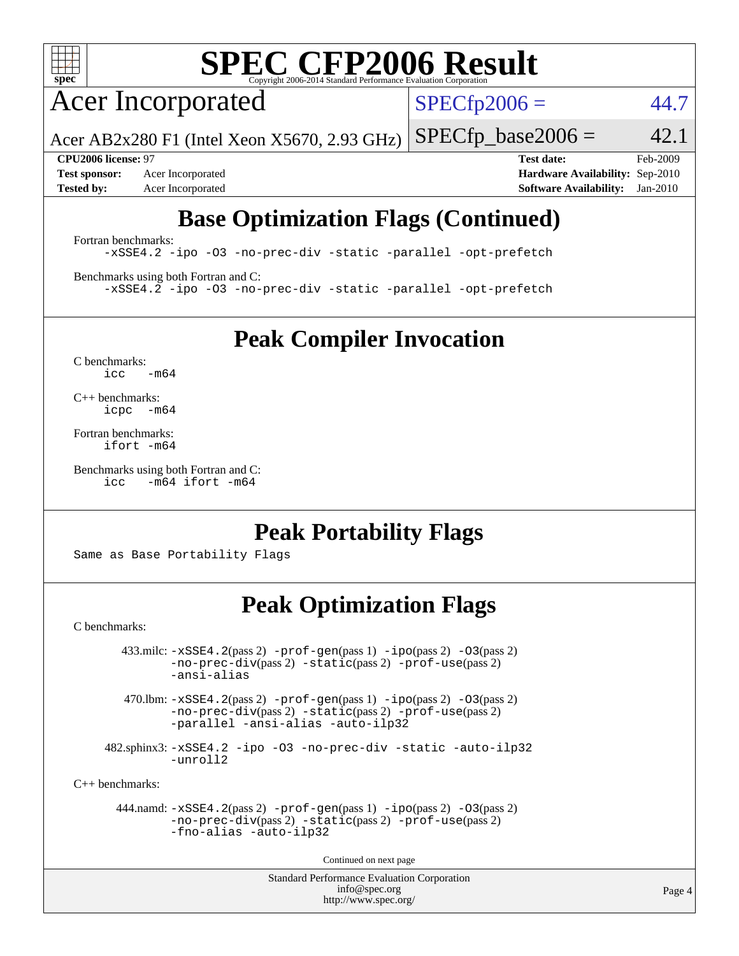

# **[SPEC CFP2006 Result](http://www.spec.org/auto/cpu2006/Docs/result-fields.html#SPECCFP2006Result)**

Acer Incorporated

 $SPECfp2006 = 44.7$  $SPECfp2006 = 44.7$ 

Acer AB2x280 F1 (Intel Xeon X5670, 2.93 GHz)  $SPECTp\_base2006 = 42.1$ 

**[Test sponsor:](http://www.spec.org/auto/cpu2006/Docs/result-fields.html#Testsponsor)** Acer Incorporated **[Hardware Availability:](http://www.spec.org/auto/cpu2006/Docs/result-fields.html#HardwareAvailability)** Sep-2010

**[CPU2006 license:](http://www.spec.org/auto/cpu2006/Docs/result-fields.html#CPU2006license)** 97 **[Test date:](http://www.spec.org/auto/cpu2006/Docs/result-fields.html#Testdate)** Feb-2009 **[Tested by:](http://www.spec.org/auto/cpu2006/Docs/result-fields.html#Testedby)** Acer Incorporated **[Software Availability:](http://www.spec.org/auto/cpu2006/Docs/result-fields.html#SoftwareAvailability)** Jan-2010

## **[Base Optimization Flags \(Continued\)](http://www.spec.org/auto/cpu2006/Docs/result-fields.html#BaseOptimizationFlags)**

[Fortran benchmarks](http://www.spec.org/auto/cpu2006/Docs/result-fields.html#Fortranbenchmarks):

[-xSSE4.2](http://www.spec.org/cpu2006/results/res2010q3/cpu2006-20100715-12396.flags.html#user_FCbase_f-xSSE42_f91528193cf0b216347adb8b939d4107) [-ipo](http://www.spec.org/cpu2006/results/res2010q3/cpu2006-20100715-12396.flags.html#user_FCbase_f-ipo) [-O3](http://www.spec.org/cpu2006/results/res2010q3/cpu2006-20100715-12396.flags.html#user_FCbase_f-O3) [-no-prec-div](http://www.spec.org/cpu2006/results/res2010q3/cpu2006-20100715-12396.flags.html#user_FCbase_f-no-prec-div) [-static](http://www.spec.org/cpu2006/results/res2010q3/cpu2006-20100715-12396.flags.html#user_FCbase_f-static) [-parallel](http://www.spec.org/cpu2006/results/res2010q3/cpu2006-20100715-12396.flags.html#user_FCbase_f-parallel) [-opt-prefetch](http://www.spec.org/cpu2006/results/res2010q3/cpu2006-20100715-12396.flags.html#user_FCbase_f-opt-prefetch)

[Benchmarks using both Fortran and C](http://www.spec.org/auto/cpu2006/Docs/result-fields.html#BenchmarksusingbothFortranandC): [-xSSE4.2](http://www.spec.org/cpu2006/results/res2010q3/cpu2006-20100715-12396.flags.html#user_CC_FCbase_f-xSSE42_f91528193cf0b216347adb8b939d4107) [-ipo](http://www.spec.org/cpu2006/results/res2010q3/cpu2006-20100715-12396.flags.html#user_CC_FCbase_f-ipo) [-O3](http://www.spec.org/cpu2006/results/res2010q3/cpu2006-20100715-12396.flags.html#user_CC_FCbase_f-O3) [-no-prec-div](http://www.spec.org/cpu2006/results/res2010q3/cpu2006-20100715-12396.flags.html#user_CC_FCbase_f-no-prec-div) [-static](http://www.spec.org/cpu2006/results/res2010q3/cpu2006-20100715-12396.flags.html#user_CC_FCbase_f-static) [-parallel](http://www.spec.org/cpu2006/results/res2010q3/cpu2006-20100715-12396.flags.html#user_CC_FCbase_f-parallel) [-opt-prefetch](http://www.spec.org/cpu2006/results/res2010q3/cpu2006-20100715-12396.flags.html#user_CC_FCbase_f-opt-prefetch)

**[Peak Compiler Invocation](http://www.spec.org/auto/cpu2006/Docs/result-fields.html#PeakCompilerInvocation)**

[C benchmarks](http://www.spec.org/auto/cpu2006/Docs/result-fields.html#Cbenchmarks):  $icc$   $-m64$ 

[C++ benchmarks:](http://www.spec.org/auto/cpu2006/Docs/result-fields.html#CXXbenchmarks) [icpc -m64](http://www.spec.org/cpu2006/results/res2010q3/cpu2006-20100715-12396.flags.html#user_CXXpeak_intel_icpc_64bit_bedb90c1146cab66620883ef4f41a67e)

[Fortran benchmarks](http://www.spec.org/auto/cpu2006/Docs/result-fields.html#Fortranbenchmarks): [ifort -m64](http://www.spec.org/cpu2006/results/res2010q3/cpu2006-20100715-12396.flags.html#user_FCpeak_intel_ifort_64bit_ee9d0fb25645d0210d97eb0527dcc06e)

[Benchmarks using both Fortran and C](http://www.spec.org/auto/cpu2006/Docs/result-fields.html#BenchmarksusingbothFortranandC): [icc -m64](http://www.spec.org/cpu2006/results/res2010q3/cpu2006-20100715-12396.flags.html#user_CC_FCpeak_intel_icc_64bit_0b7121f5ab7cfabee23d88897260401c) [ifort -m64](http://www.spec.org/cpu2006/results/res2010q3/cpu2006-20100715-12396.flags.html#user_CC_FCpeak_intel_ifort_64bit_ee9d0fb25645d0210d97eb0527dcc06e)

### **[Peak Portability Flags](http://www.spec.org/auto/cpu2006/Docs/result-fields.html#PeakPortabilityFlags)**

Same as Base Portability Flags

## **[Peak Optimization Flags](http://www.spec.org/auto/cpu2006/Docs/result-fields.html#PeakOptimizationFlags)**

[C benchmarks](http://www.spec.org/auto/cpu2006/Docs/result-fields.html#Cbenchmarks):

 $433 \text{.}$ milc:  $-xSSE4$ .  $2(pass 2)$  - $prof-gen(pass 1)$  - $ipo(pass 2)$  [-O3](http://www.spec.org/cpu2006/results/res2010q3/cpu2006-20100715-12396.flags.html#user_peakPASS2_CFLAGSPASS2_LDFLAGS433_milc_f-O3) $(pass 2)$ [-no-prec-div](http://www.spec.org/cpu2006/results/res2010q3/cpu2006-20100715-12396.flags.html#user_peakPASS2_CFLAGSPASS2_LDFLAGS433_milc_f-no-prec-div)(pass 2) [-static](http://www.spec.org/cpu2006/results/res2010q3/cpu2006-20100715-12396.flags.html#user_peakPASS2_CFLAGSPASS2_LDFLAGS433_milc_f-static)(pass 2) [-prof-use](http://www.spec.org/cpu2006/results/res2010q3/cpu2006-20100715-12396.flags.html#user_peakPASS2_CFLAGSPASS2_LDFLAGS433_milc_prof_use_bccf7792157ff70d64e32fe3e1250b55)(pass 2) [-ansi-alias](http://www.spec.org/cpu2006/results/res2010q3/cpu2006-20100715-12396.flags.html#user_peakOPTIMIZE433_milc_f-ansi-alias)

470.lbm:  $-xSSE4$ . 2(pass 2)  $-prof-gen(pass 1) -ipo(pass 2) -O3(pass 2)$  $-prof-gen(pass 1) -ipo(pass 2) -O3(pass 2)$  $-prof-gen(pass 1) -ipo(pass 2) -O3(pass 2)$  $-prof-gen(pass 1) -ipo(pass 2) -O3(pass 2)$  $-prof-gen(pass 1) -ipo(pass 2) -O3(pass 2)$  $-prof-gen(pass 1) -ipo(pass 2) -O3(pass 2)$ [-no-prec-div](http://www.spec.org/cpu2006/results/res2010q3/cpu2006-20100715-12396.flags.html#user_peakPASS2_CFLAGSPASS2_LDFLAGS470_lbm_f-no-prec-div)(pass 2) [-static](http://www.spec.org/cpu2006/results/res2010q3/cpu2006-20100715-12396.flags.html#user_peakPASS2_CFLAGSPASS2_LDFLAGS470_lbm_f-static)(pass 2) [-prof-use](http://www.spec.org/cpu2006/results/res2010q3/cpu2006-20100715-12396.flags.html#user_peakPASS2_CFLAGSPASS2_LDFLAGS470_lbm_prof_use_bccf7792157ff70d64e32fe3e1250b55)(pass 2) [-parallel](http://www.spec.org/cpu2006/results/res2010q3/cpu2006-20100715-12396.flags.html#user_peakOPTIMIZE470_lbm_f-parallel) [-ansi-alias](http://www.spec.org/cpu2006/results/res2010q3/cpu2006-20100715-12396.flags.html#user_peakOPTIMIZE470_lbm_f-ansi-alias) [-auto-ilp32](http://www.spec.org/cpu2006/results/res2010q3/cpu2006-20100715-12396.flags.html#user_peakCOPTIMIZE470_lbm_f-auto-ilp32)

 482.sphinx3: [-xSSE4.2](http://www.spec.org/cpu2006/results/res2010q3/cpu2006-20100715-12396.flags.html#user_peakOPTIMIZE482_sphinx3_f-xSSE42_f91528193cf0b216347adb8b939d4107) [-ipo](http://www.spec.org/cpu2006/results/res2010q3/cpu2006-20100715-12396.flags.html#user_peakOPTIMIZE482_sphinx3_f-ipo) [-O3](http://www.spec.org/cpu2006/results/res2010q3/cpu2006-20100715-12396.flags.html#user_peakOPTIMIZE482_sphinx3_f-O3) [-no-prec-div](http://www.spec.org/cpu2006/results/res2010q3/cpu2006-20100715-12396.flags.html#user_peakOPTIMIZE482_sphinx3_f-no-prec-div) [-static](http://www.spec.org/cpu2006/results/res2010q3/cpu2006-20100715-12396.flags.html#user_peakOPTIMIZE482_sphinx3_f-static) [-auto-ilp32](http://www.spec.org/cpu2006/results/res2010q3/cpu2006-20100715-12396.flags.html#user_peakCOPTIMIZE482_sphinx3_f-auto-ilp32) [-unroll2](http://www.spec.org/cpu2006/results/res2010q3/cpu2006-20100715-12396.flags.html#user_peakCOPTIMIZE482_sphinx3_f-unroll_784dae83bebfb236979b41d2422d7ec2)

[C++ benchmarks:](http://www.spec.org/auto/cpu2006/Docs/result-fields.html#CXXbenchmarks)

```
 444.namd: -xSSE4.2(pass 2) -prof-gen(pass 1) -ipo(pass 2) -O3(pass 2)
-no-prec-div(pass 2) -static(pass 2) -prof-use(pass 2)
-fno-alias -auto-ilp32
```
Continued on next page

Standard Performance Evaluation Corporation [info@spec.org](mailto:info@spec.org) <http://www.spec.org/>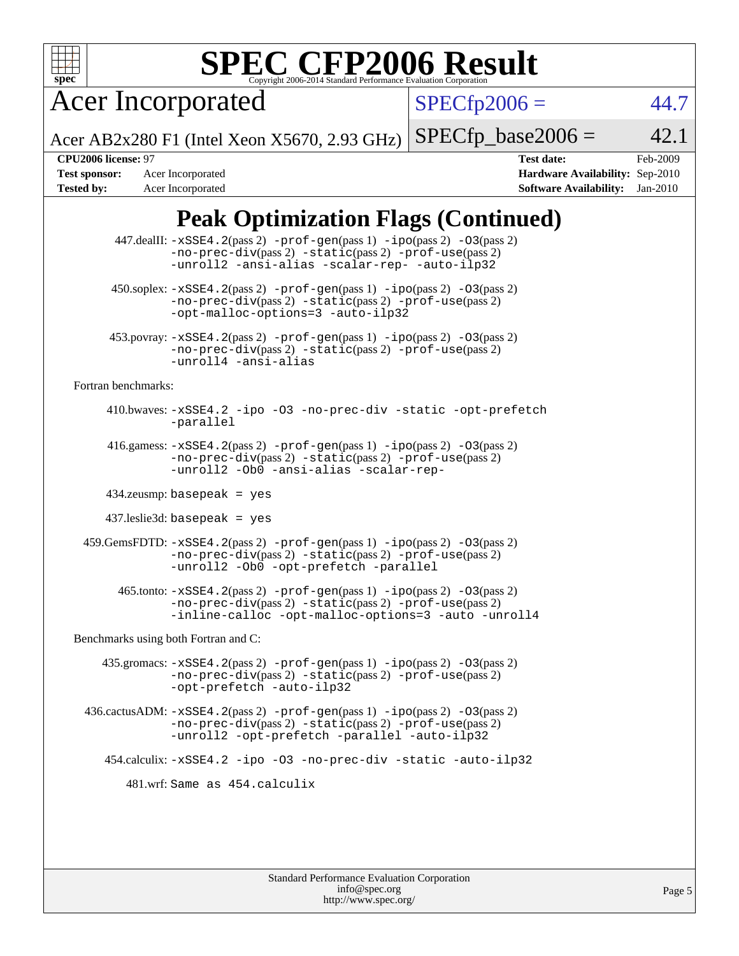

# **[SPEC CFP2006 Result](http://www.spec.org/auto/cpu2006/Docs/result-fields.html#SPECCFP2006Result)**

Acer Incorporated

 $SPECfp2006 = 44.7$  $SPECfp2006 = 44.7$ 

Acer AB2x280 F1 (Intel Xeon X5670, 2.93 GHz)  $SPECTp\_base2006 = 42.1$ 

**[Tested by:](http://www.spec.org/auto/cpu2006/Docs/result-fields.html#Testedby)** Acer Incorporated **[Software Availability:](http://www.spec.org/auto/cpu2006/Docs/result-fields.html#SoftwareAvailability)** Jan-2010

**[CPU2006 license:](http://www.spec.org/auto/cpu2006/Docs/result-fields.html#CPU2006license)** 97 **[Test date:](http://www.spec.org/auto/cpu2006/Docs/result-fields.html#Testdate)** Feb-2009 **[Test sponsor:](http://www.spec.org/auto/cpu2006/Docs/result-fields.html#Testsponsor)** Acer Incorporated **[Hardware Availability:](http://www.spec.org/auto/cpu2006/Docs/result-fields.html#HardwareAvailability)** Sep-2010

## **[Peak Optimization Flags \(Continued\)](http://www.spec.org/auto/cpu2006/Docs/result-fields.html#PeakOptimizationFlags)**

|                                      | 447.dealII: -xSSE4.2(pass 2) -prof-gen(pass 1) -ipo(pass 2) -03(pass 2)<br>$-no-prec-div(pass 2) -static(pass 2) -prof-use(pass 2)$<br>-unroll2 -ansi-alias -scalar-rep- -auto-ilp32                      |  |  |  |  |  |
|--------------------------------------|-----------------------------------------------------------------------------------------------------------------------------------------------------------------------------------------------------------|--|--|--|--|--|
|                                      | 450.soplex: -xSSE4.2(pass 2) -prof-gen(pass 1) -ipo(pass 2) -03(pass 2)<br>$-no-prec-div(pass 2) -static(pass 2) -prof-use(pass 2)$<br>-opt-malloc-options=3 -auto-ilp32                                  |  |  |  |  |  |
|                                      | 453.povray: -xSSE4.2(pass 2) -prof-gen(pass 1) -ipo(pass 2) -03(pass 2)<br>-no-prec-div(pass 2) -static(pass 2) -prof-use(pass 2)<br>-unroll4 -ansi-alias                                                 |  |  |  |  |  |
| Fortran benchmarks:                  |                                                                                                                                                                                                           |  |  |  |  |  |
|                                      | 410.bwaves: -xSSE4.2 -ipo -03 -no-prec-div -static -opt-prefetch<br>-parallel                                                                                                                             |  |  |  |  |  |
|                                      | 416.gamess: $-xSSE4$ . $2(pass 2)$ -prof-gen(pass 1) -ipo(pass 2) -03(pass 2)<br>-no-prec-div(pass 2) -static(pass 2) -prof-use(pass 2)<br>-unroll2 -0b0 -ansi-alias -scalar-rep-                         |  |  |  |  |  |
|                                      | $434$ .zeusmp: basepeak = yes                                                                                                                                                                             |  |  |  |  |  |
|                                      | $437$ leslie $3d$ : basepeak = yes                                                                                                                                                                        |  |  |  |  |  |
|                                      | 459. GemsFDTD: -xSSE4. 2(pass 2) -prof-gen(pass 1) -ipo(pass 2) -03(pass 2)<br>$-no-prec-div(pass 2) -static(pass 2) -prof-use(pass 2)$<br>-unroll2 -0b0 -opt-prefetch -parallel                          |  |  |  |  |  |
|                                      | $465$ .tonto: $-xSSE4$ . $2(pass 2)$ -prof-gen $(pass 1)$ -ipo $(pass 2)$ -03 $(pass 2)$<br>-no-prec-div(pass 2) -static(pass 2) -prof-use(pass 2)<br>-inline-calloc -opt-malloc-options=3 -auto -unroll4 |  |  |  |  |  |
| Benchmarks using both Fortran and C: |                                                                                                                                                                                                           |  |  |  |  |  |
|                                      | 435.gromacs: $-xSSE4$ . 2(pass 2) $-prof$ -gen(pass 1) $-ipo$ (pass 2) $-O3$ (pass 2)<br>-no-prec-div(pass 2) -static(pass 2) -prof-use(pass 2)<br>-opt-prefetch -auto-ilp32                              |  |  |  |  |  |
|                                      | $436 \text{.cactus}$ ADM: $-xSSE4$ . 2(pass 2) $-prof-gen(pass 1) -ipo(pass 2) -O3(pass 2)$<br>$-no-prec-div(pass 2) -static(pass 2) -prof-use(pass 2)$<br>-unroll2 -opt-prefetch -parallel -auto-ilp32   |  |  |  |  |  |
|                                      | 454.calculix: -xSSE4.2 -ipo -03 -no-prec-div -static -auto-ilp32                                                                                                                                          |  |  |  |  |  |
|                                      | 481.wrf:Same as 454.calculix                                                                                                                                                                              |  |  |  |  |  |
|                                      |                                                                                                                                                                                                           |  |  |  |  |  |
|                                      |                                                                                                                                                                                                           |  |  |  |  |  |